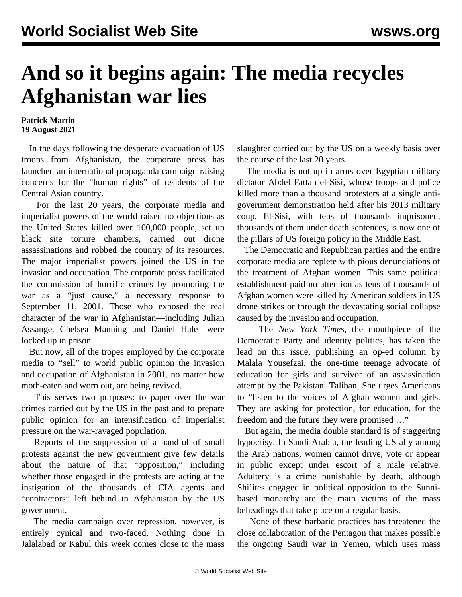## **And so it begins again: The media recycles Afghanistan war lies**

## **Patrick Martin 19 August 2021**

 In the days following the desperate evacuation of US troops from Afghanistan, the corporate press has launched an international propaganda campaign raising concerns for the "human rights" of residents of the Central Asian country.

 For the last 20 years, the corporate media and imperialist powers of the world raised no objections as the United States killed over 100,000 people, set up black site torture chambers, carried out drone assassinations and robbed the country of its resources. The major imperialist powers joined the US in the invasion and occupation. The corporate press facilitated the commission of horrific crimes by promoting the war as a "just cause," a necessary response to September 11, 2001. Those who exposed the real character of the war in Afghanistan—including Julian Assange, Chelsea Manning and Daniel Hale—were locked up in prison.

 But now, all of the tropes employed by the corporate media to "sell" to world public opinion the invasion and occupation of Afghanistan in 2001, no matter how moth-eaten and worn out, are being revived.

 This serves two purposes: to paper over the war crimes carried out by the US in the past and to prepare public opinion for an intensification of imperialist pressure on the war-ravaged population.

 Reports of the suppression of a handful of small protests against the new government give few details about the nature of that "opposition," including whether those engaged in the protests are acting at the instigation of the thousands of CIA agents and "contractors" left behind in Afghanistan by the US government.

 The media campaign over repression, however, is entirely cynical and two-faced. Nothing done in Jalalabad or Kabul this week comes close to the mass slaughter carried out by the US on a weekly basis over the course of the last 20 years.

 The media is not up in arms over Egyptian military dictator Abdel Fattah el-Sisi, whose troops and police killed more than a thousand protesters at a single antigovernment demonstration held after his 2013 military coup. El-Sisi, with tens of thousands imprisoned, thousands of them under death sentences, is now one of the pillars of US foreign policy in the Middle East.

 The Democratic and Republican parties and the entire corporate media are replete with pious denunciations of the treatment of Afghan women. This same political establishment paid no attention as tens of thousands of Afghan women were killed by American soldiers in US drone strikes or through the devastating social collapse caused by the invasion and occupation.

 The *New York Times*, the mouthpiece of the Democratic Party and identity politics, has taken the lead on this issue, publishing an op-ed column by Malala Yousefzai, the one-time teenage advocate of education for girls and survivor of an assassination attempt by the Pakistani Taliban. She urges Americans to "listen to the voices of Afghan women and girls. They are asking for protection, for education, for the freedom and the future they were promised …"

 But again, the media double standard is of staggering hypocrisy. In Saudi Arabia, the leading US ally among the Arab nations, women cannot drive, vote or appear in public except under escort of a male relative. Adultery is a crime punishable by death, although Shi'ites engaged in political opposition to the Sunnibased monarchy are the main victims of the mass beheadings that take place on a regular basis.

 None of these barbaric practices has threatened the close collaboration of the Pentagon that makes possible the ongoing Saudi war in Yemen, which uses mass